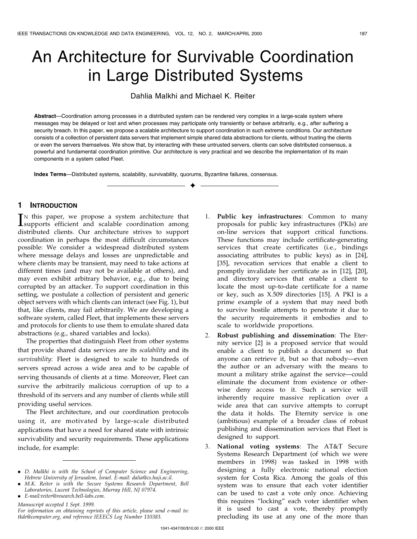# An Architecture for Survivable Coordination in Large Distributed Systems

Dahlia Malkhi and Michael K. Reiter

Abstract-Coordination among processes in a distributed system can be rendered very complex in a large-scale system where messages may be delayed or lost and when processes may participate only transiently or behave arbitrarily, e.g., after suffering a security breach. In this paper, we propose a scalable architecture to support coordination in such extreme conditions. Our architecture consists of a collection of persistent data servers that implement simple shared data abstractions for clients, without trusting the clients or even the servers themselves. We show that, by interacting with these untrusted servers, clients can solve distributed consensus, a powerful and fundamental coordination primitive. Our architecture is very practical and we describe the implementation of its main components in a system called Fleet.

æ

Index Terms-Distributed systems, scalability, survivability, quorums, Byzantine failures, consensus.

# 1 INTRODUCTION

 $\sum_{n=1}^{\infty}$  is paper, we propose a system architecture that supports efficient and scalable coordination among IN this paper, we propose a system architecture that distributed clients. Our architecture strives to support coordination in perhaps the most difficult circumstances possible: We consider a widespread distributed system where message delays and losses are unpredictable and where clients may be transient, may need to take actions at different times (and may not be available at others), and may even exhibit arbitrary behavior, e.g., due to being corrupted by an attacker. To support coordination in this setting, we postulate a collection of persistent and generic object servers with which clients can interact (see Fig. 1), but that, like clients, may fail arbitrarily. We are developing a software system, called Fleet, that implements these servers and protocols for clients to use them to emulate shared data abstractions (e.g., shared variables and locks).

The properties that distinguish Fleet from other systems that provide shared data services are its scalability and its survivability: Fleet is designed to scale to hundreds of servers spread across a wide area and to be capable of serving thousands of clients at a time. Moreover, Fleet can survive the arbitrarily malicious corruption of up to a threshold of its servers and any number of clients while still providing useful services.

The Fleet architecture, and our coordination protocols using it, are motivated by large-scale distributed applications that have a need for shared state with intrinsic survivability and security requirements. These applications include, for example:

- 1. Public key infrastructures: Common to many proposals for public key infrastructures (PKIs) are on-line services that support critical functions. These functions may include certificate-generating services that create certificates (i.e., bindings associating attributes to public keys) as in [24], [35], revocation services that enable a client to promptly invalidate her certificate as in [12], [20], and directory services that enable a client to locate the most up-to-date certificate for a name or key, such as X.509 directories [15]. A PKI is a prime example of a system that may need both to survive hostile attempts to penetrate it due to the security requirements it embodies and to scale to worldwide proportions.
- Robust publishing and dissemination: The Eternity service [2] is a proposed service that would enable a client to publish a document so that anyone can retrieve it, but so that nobody—even the author or an adversary with the means to mount a military strike against the service-could eliminate the document from existence or otherwise deny access to it. Such a service will inherently require massive replication over a wide area that can survive attempts to corrupt the data it holds. The Eternity service is one (ambitious) example of a broader class of robust publishing and dissemination services that Fleet is designed to support.
- 3. National voting systems: The AT&T Secure Systems Research Department (of which we were members in 1998) was tasked in 1998 with designing a fully electronic national election system for Costa Rica. Among the goals of this system was to ensure that each voter identifier can be used to cast a vote only once. Achieving this requires "locking" each voter identifier when it is used to cast a vote, thereby promptly precluding its use at any one of the more than

<sup>.</sup> D. Malkhi is with the School of Computer Science and Engineering, Hebrew University of Jerusalem, Israel. E-mail: dalia@cs.huji.ac.il.

<sup>.</sup> M.K. Reiter is with the Secure Systems Research Department, Bell Laboratories, Lucent Technologies, Murray Hill, NJ 07974.

<sup>.</sup> E-mail:reiter@research.bell-labs.com. Manuscript accepted 1 Sept. 1999.

For information on obtaining reprints of this article, please send e-mail to: tkde@computer.org, and reference IEEECS Log Number 110383.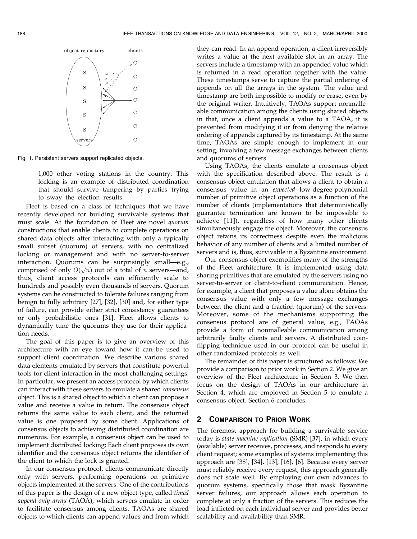

Fig. 1. Persistent servers support replicated objects.

1,000 other voting stations in the country. This locking is an example of distributed coordination that should survive tampering by parties trying to sway the election results.

Fleet is based on a class of techniques that we have recently developed for building survivable systems that must scale. At the foundation of Fleet are novel quorum constructions that enable clients to complete operations on shared data objects after interacting with only a typically small subset (quorum) of servers, with no centralized locking or management and with no server-to-server interaction. Quorums can be surprisingly small—e.g., meraction. Quorums can be surprisingly sman—e.g., comprised of only  $O(\sqrt{n})$  out of a total of *n* servers—and, thus, client access protocols can efficiently scale to hundreds and possibly even thousands of servers. Quorum systems can be constructed to tolerate failures ranging from benign to fully arbitrary [27], [32], [30] and, for either type of failure, can provide either strict consistency guarantees or only probabilistic ones [31]. Fleet allows clients to dynamically tune the quorums they use for their application needs.

The goal of this paper is to give an overview of this architecture with an eye toward how it can be used to support client coordination. We describe various shared data elements emulated by servers that constitute powerful tools for client interaction in the most challenging settings. In particular, we present an access protocol by which clients can interact with these servers to emulate a shared consensus object. This is a shared object to which a client can propose a value and receive a value in return. The consensus object returns the same value to each client, and the returned value is one proposed by some client. Applications of consensus objects to achieving distributed coordination are numerous. For example, a consensus object can be used to implement distributed locking: Each client proposes its own identifier and the consensus object returns the identifier of the client to which the lock is granted.

In our consensus protocol, clients communicate directly only with servers, performing operations on primitive objects implemented at the servers. One of the contributions of this paper is the design of a new object type, called timed append-only array (TAOA), which servers emulate in order to facilitate consensus among clients. TAOAs are shared objects to which clients can append values and from which

they can read. In an append operation, a client irreversibly writes a value at the next available slot in an array. The servers include a timestamp with an appended value which is returned in a read operation together with the value. These timestamps serve to capture the partial ordering of appends on all the arrays in the system. The value and timestamp are both impossible to modify or erase, even by the original writer. Intuitively, TAOAs support nonmalleable communication among the clients using shared objects in that, once a client appends a value to a TAOA, it is prevented from modifying it or from denying the relative ordering of appends captured by its timestamp. At the same time, TAOAs are simple enough to implement in our setting, involving a few message exchanges between clients and quorums of servers.

Using TAOAs, the clients emulate a consensus object with the specification described above. The result is a consensus object emulation that allows a client to obtain a consensus value in an expected low-degree-polynomial number of primitive object operations as a function of the number of clients (implementations that deterministically guarantee termination are known to be impossible to achieve [11]), regardless of how many other clients simultaneously engage the object. Moreover, the consensus object retains its correctness despite even the malicious behavior of any number of clients and a limited number of servers and is, thus, survivable in a Byzantine environment.

Our consensus object exemplifies many of the strengths of the Fleet architecture. It is implemented using data sharing primitives that are emulated by the servers using no server-to-server or client-to-client communication. Hence, for example, a client that proposes a value alone obtains the consensus value with only a few message exchanges between the client and a fraction (quorum) of the servers. Moreover, some of the mechanisms supporting the consensus protocol are of general value, e.g., TAOAs provide a form of nonmalleable communication among arbitrarily faulty clients and servers. A distributed coinflipping technique used in our protocol can be useful in other randomized protocols as well.

The remainder of this paper is structured as follows: We provide a comparison to prior work in Section 2. We give an overview of the Fleet architecture in Section 3. We then focus on the design of TAOAs in our architecture in Section 4, which are employed in Section 5 to emulate a consensus object. Section 6 concludes.

# 2 COMPARISON TO PRIOR WORK

The foremost approach for building a survivable service today is state machine replication (SMR) [37], in which every (available) server receives, processes, and responds to every client request; some examples of systems implementing this approach are [38], [34], [13], [16], [6]. Because every server must reliably receive every request, this approach generally does not scale well. By employing our own advances to quorum systems, specifically those that mask Byzantine server failures, our approach allows each operation to complete at only a fraction of the servers. This reduces the load inflicted on each individual server and provides better scalability and availability than SMR.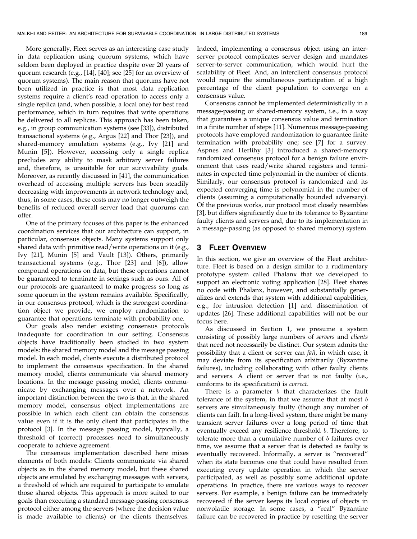More generally, Fleet serves as an interesting case study in data replication using quorum systems, which have seldom been deployed in practice despite over 20 years of quorum research (e.g., [14], [40]; see [25] for an overview of quorum systems). The main reason that quorums have not been utilized in practice is that most data replication systems require a client's read operation to access only a single replica (and, when possible, a local one) for best read performance, which in turn requires that write operations be delivered to all replicas. This approach has been taken, e.g., in group communication systems (see [33]), distributed transactional systems (e.g., Argus [22] and Thor [23]), and shared-memory emulation systems (e.g., Ivy [21] and Munin [5]). However, accessing only a single replica precludes any ability to mask arbitrary server failures and, therefore, is unsuitable for our survivability goals. Moreover, as recently discussed in [41], the communication overhead of accessing multiple servers has been steadily decreasing with improvements in network technology and, thus, in some cases, these costs may no longer outweigh the benefits of reduced overall server load that quorums can offer.

One of the primary focuses of this paper is the enhanced coordination services that our architecture can support, in particular, consensus objects. Many systems support only shared data with primitive read/write operations on it (e.g., Ivy [21], Munin [5] and Vault [13]). Others, primarily transactional systems (e.g., Thor [23] and [6]), allow compound operations on data, but these operations cannot be guaranteed to terminate in settings such as ours. All of our protocols are guaranteed to make progress so long as some quorum in the system remains available. Specifically, in our consensus protocol, which is the strongest coordination object we provide, we employ randomization to guarantee that operations terminate with probability one.

Our goals also render existing consensus protocols inadequate for coordination in our setting. Consensus objects have traditionally been studied in two system models: the shared memory model and the message passing model. In each model, clients execute a distributed protocol to implement the consensus specification. In the shared memory model, clients communicate via shared memory locations. In the message passing model, clients communicate by exchanging messages over a network. An important distinction between the two is that, in the shared memory model, consensus object implementations are possible in which each client can obtain the consensus value even if it is the only client that participates in the protocol [3]. In the message passing model, typically, a threshold of (correct) processes need to simultaneously cooperate to achieve agreement.

The consensus implementation described here mixes elements of both models: Clients communicate via shared objects as in the shared memory model, but these shared objects are emulated by exchanging messages with servers, a threshold of which are required to participate to emulate those shared objects. This approach is more suited to our goals than executing a standard message-passing consensus protocol either among the servers (where the decision value is made available to clients) or the clients themselves. Indeed, implementing a consensus object using an interserver protocol complicates server design and mandates server-to-server communication, which would hurt the scalability of Fleet. And, an interclient consensus protocol would require the simultaneous participation of a high percentage of the client population to converge on a consensus value.

Consensus cannot be implemented deterministically in a message-passing or shared-memory system, i.e., in a way that guarantees a unique consensus value and termination in a finite number of steps [11]. Numerous message-passing protocols have employed randomization to guarantee finite termination with probability one; see [7] for a survey. Aspnes and Herlihy [3] introduced a shared-memory randomized consensus protocol for a benign failure environment that uses read/write shared registers and terminates in expected time polynomial in the number of clients. Similarly, our consensus protocol is randomized and its expected converging time is polynomial in the number of clients (assuming a computationally bounded adversary). Of the previous works, our protocol most closely resembles [3], but differs significantly due to its tolerance to Byzantine faulty clients and servers and, due to its implementation in a message-passing (as opposed to shared memory) system.

# 3 FLEET OVERVIEW

In this section, we give an overview of the Fleet architecture. Fleet is based on a design similar to a rudimentary prototype system called Phalanx that we developed to support an electronic voting application [28]. Fleet shares no code with Phalanx, however, and substantially generalizes and extends that system with additional capabilities, e.g., for intrusion detection [1] and dissemination of updates [26]. These additional capabilities will not be our focus here.

As discussed in Section 1, we presume a system consisting of possibly large numbers of servers and clients that need not necessarily be distinct. Our system admits the possibility that a client or server can fail, in which case, it may deviate from its specification arbitrarily (Byzantine failures), including collaborating with other faulty clients and servers. A client or server that is not faulty (i.e., conforms to its specification) is correct.

There is a parameter  $b$  that characterizes the fault tolerance of the system, in that we assume that at most  $b$ servers are simultaneously faulty (though any number of clients can fail). In a long-lived system, there might be many transient server failures over a long period of time that eventually exceed any resilience threshold b. Therefore, to tolerate more than a cumulative number of  $b$  failures over time, we assume that a server that is detected as faulty is eventually recovered. Informally, a server is "recovered" when its state becomes one that could have resulted from executing every update operation in which the server participated, as well as possibly some additional update operations. In practice, there are various ways to recover servers. For example, a benign failure can be immediately recovered if the server keeps its local copies of objects in nonvolatile storage. In some cases, a "real" Byzantine failure can be recovered in practice by resetting the server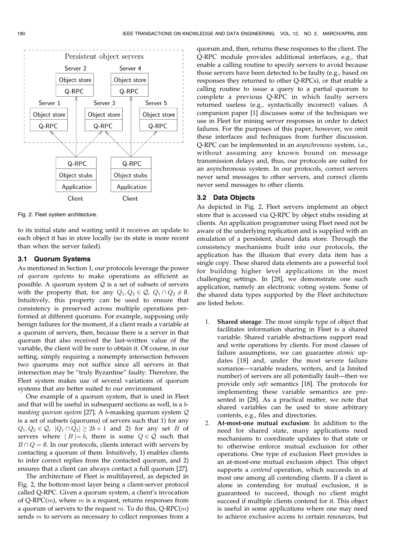

Fig. 2. Fleet system architecture.

to its initial state and waiting until it receives an update to each object it has in store locally (so its state is more recent than when the server failed).

# 3.1 Quorum Systems

As mentioned in Section 1, our protocols leverage the power of quorum systems to make operations as efficient as possible. A quorum system  $Q$  is a set of subsets of servers with the property that, for any  $Q_1, Q_2 \in \mathcal{Q}$ ,  $Q_1 \cap Q_2 \neq \emptyset$ . Intuitively, this property can be used to ensure that consistency is preserved across multiple operations performed at different quorums. For example, supposing only benign failures for the moment, if a client reads a variable at a quorum of servers, then, because there is a server in that quorum that also received the last-written value of the variable, the client will be sure to obtain it. Of course, in our setting, simply requiring a nonempty intersection between two quorums may not suffice since all servers in that intersection may be "truly Byzantine" faulty. Therefore, the Fleet system makes use of several variations of quorum systems that are better suited to our environment.

One example of a quorum system, that is used in Fleet and that will be useful in subsequent sections as well, is a bmasking quorum system [27]. A b-masking quorum system Q is a set of subsets (quorums) of servers such that 1) for any  $Q_1, Q_2 \in \mathcal{Q}$ ,  $|Q_1 \cap Q_2| \ge 2b + 1$  and 2) for any set B of servers where  $|B| = b$ , there is some  $Q \in \mathcal{Q}$  such that  $B \cap Q = \emptyset$ . In our protocols, clients interact with servers by contacting a quorum of them. Intuitively, 1) enables clients to infer correct replies from the contacted quorum, and 2) ensures that a client can always contact a full quorum [27].

The architecture of Fleet is multilayered, as depicted in Fig. 2, the bottom-most layer being a client-server protocol called Q-RPC. Given a quorum system, a client's invocation of Q-RPC $(m)$ , where m is a request, returns responses from a quorum of servers to the request  $m$ . To do this, Q-RPC $(m)$ sends  $m$  to servers as necessary to collect responses from a

quorum and, then, returns these responses to the client. The Q-RPC module provides additional interfaces, e.g., that enable a calling routine to specify servers to avoid because those servers have been detected to be faulty (e.g., based on responses they returned to other Q-RPCs), or that enable a calling routine to issue a query to a partial quorum to complete a previous Q-RPC in which faulty servers returned useless (e.g., syntactically incorrect) values. A companion paper [1] discusses some of the techniques we use in Fleet for mining server responses in order to detect failures. For the purposes of this paper, however, we omit these interfaces and techniques from further discussion. Q-RPC can be implemented in an asynchronous system, i.e., without assuming any known bound on message transmission delays and, thus, our protocols are suited for an asynchronous system. In our protocols, correct servers never send messages to other servers, and correct clients never send messages to other clients.

# 3.2 Data Objects

As depicted in Fig. 2, Fleet servers implement an object store that is accessed via Q-RPC by object stubs residing at clients. An application programmer using Fleet need not be aware of the underlying replication and is supplied with an emulation of a persistent, shared data store. Through the consistency mechanisms built into our protocols, the application has the illusion that every data item has a single copy. These shared data elements are a powerful tool for building higher level applications in the most challenging settings. In [28], we demonstrate one such application, namely an electronic voting system. Some of the shared data types supported by the Fleet architecture are listed below.

- Shared storage: The most simple type of object that facilitates information sharing in Fleet is a shared variable. Shared variable abstractions support read and write operations by clients. For most classes of failure assumptions, we can guarantee atomic updates [18] and, under the most severe failure scenarios—variable readers, writers, and (a limited number) of servers are all potentially fault-then we provide only safe semantics [18]. The protocols for implementing these variable semantics are presented in [28]. As a practical matter, we note that shared variables can be used to store arbitrary contents, e.g., files and directories.
- 2. At-most-one mutual exclusion: In addition to the need for shared state, many applications need mechanisms to coordinate updates to that state or to otherwise enforce mutual exclusion for other operations. One type of exclusion Fleet provides is an at-most-one mutual exclusion object. This object supports a contend operation, which succeeds in at most one among all contending clients. If a client is alone in contending for mutual exclusion, it is guaranteed to succeed, though no client might succeed if multiple clients contend for it. This object is useful in some applications where one may need to achieve exclusive access to certain resources, but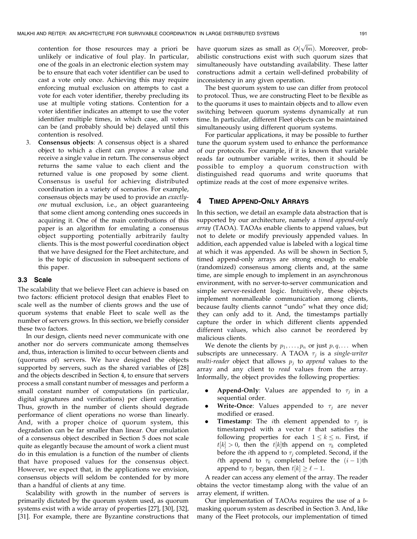contention for those resources may a priori be unlikely or indicative of foul play. In particular, one of the goals in an electronic election system may be to ensure that each voter identifier can be used to cast a vote only once. Achieving this may require enforcing mutual exclusion on attempts to cast a vote for each voter identifier, thereby precluding its use at multiple voting stations. Contention for a voter identifier indicates an attempt to use the voter identifier multiple times, in which case, all voters can be (and probably should be) delayed until this contention is resolved.

3. Consensus objects: A consensus object is a shared object to which a client can propose a value and receive a single value in return. The consensus object returns the same value to each client and the returned value is one proposed by some client. Consensus is useful for achieving distributed coordination in a variety of scenarios. For example, consensus objects may be used to provide an exactlyone mutual exclusion, i.e., an object guaranteeing that some client among contending ones succeeds in acquiring it. One of the main contributions of this paper is an algorithm for emulating a consensus object supporting potentially arbitrarily faulty clients. This is the most powerful coordination object that we have designed for the Fleet architecture, and is the topic of discussion in subsequent sections of this paper.

## 3.3 Scale

The scalability that we believe Fleet can achieve is based on two factors: efficient protocol design that enables Fleet to scale well as the number of clients grows and the use of quorum systems that enable Fleet to scale well as the number of servers grows. In this section, we briefly consider these two factors.

In our design, clients need never communicate with one another nor do servers communicate among themselves and, thus, interaction is limited to occur between clients and (quorums of) servers. We have designed the objects supported by servers, such as the shared variables of [28] and the objects described in Section 4, to ensure that servers process a small constant number of messages and perform a small constant number of computations (in particular, digital signatures and verifications) per client operation. Thus, growth in the number of clients should degrade performance of client operations no worse than linearly. And, with a proper choice of quorum system, this degradation can be far smaller than linear. Our emulation of a consensus object described in Section 5 does not scale quite as elegantly because the amount of work a client must do in this emulation is a function of the number of clients that have proposed values for the consensus object. However, we expect that, in the applications we envision, consensus objects will seldom be contended for by more than a handful of clients at any time.

Scalability with growth in the number of servers is primarily dictated by the quorum system used, as quorum systems exist with a wide array of properties [27], [30], [32], [31]. For example, there are Byzantine constructions that

have quorum sizes as small as  $O(\sqrt{bn})$ . Moreover, probabilistic constructions exist with such quorum sizes that simultaneously have outstanding availability. These latter constructions admit a certain well-defined probability of inconsistency in any given operation.

The best quorum system to use can differ from protocol to protocol. Thus, we are constructing Fleet to be flexible as to the quorums it uses to maintain objects and to allow even switching between quorum systems dynamically at run time. In particular, different Fleet objects can be maintained simultaneously using different quorum systems.

For particular applications, it may be possible to further tune the quorum system used to enhance the performance of our protocols. For example, if it is known that variable reads far outnumber variable writes, then it should be possible to employ a quorum construction with distinguished read quorums and write quorums that optimize reads at the cost of more expensive writes.

## **TIMED APPEND-ONLY ARRAYS**

In this section, we detail an example data abstraction that is supported by our architecture, namely a timed append-only array (TAOA). TAOAs enable clients to append values, but not to delete or modify previously appended values. In addition, each appended value is labeled with a logical time at which it was appended. As will be shown in Section 5, timed append-only arrays are strong enough to enable (randomized) consensus among clients and, at the same time, are simple enough to implement in an asynchronous environment, with no server-to-server communication and simple server-resident logic. Intuitively, these objects implement nonmalleable communication among clients, because faulty clients cannot "undo" what they once did; they can only add to it. And, the timestamps partially capture the order in which different clients appended different values, which also cannot be reordered by malicious clients.

We denote the clients by  $p_1, \ldots, p_n$  or just  $p, q, \ldots$  when subscripts are unnecessary. A TAOA  $\tau_i$  is a single-writer multi-reader object that allows  $p_j$  to append values to the array and any client to read values from the array. Informally, the object provides the following properties:

- **Append-Only:** Values are appended to  $\tau_i$  in a sequential order.
- **Write-Once:** Values appended to  $\tau_i$  are never modified or erased.
- **Timestamp:** The *i*th element appended to  $\tau_i$  is timestamped with a vector  $t$  that satisfies the following properties for each  $1 \leq k \leq n$ . First, if  $t[k] > 0$ , then the  $t[k]$ th append on  $\tau_k$  completed before the *i*th append to  $\tau_j$  completed. Second, if the  $\ell$ th append to  $\tau_k$  completed before the  $(i - 1)$ th append to  $\tau_i$  began, then  $t[k] \ge \ell - 1$ .

A reader can access any element of the array. The reader obtains the vector timestamp along with the value of an array element, if written.

Our implementation of TAOAs requires the use of a bmasking quorum system as described in Section 3. And, like many of the Fleet protocols, our implementation of timed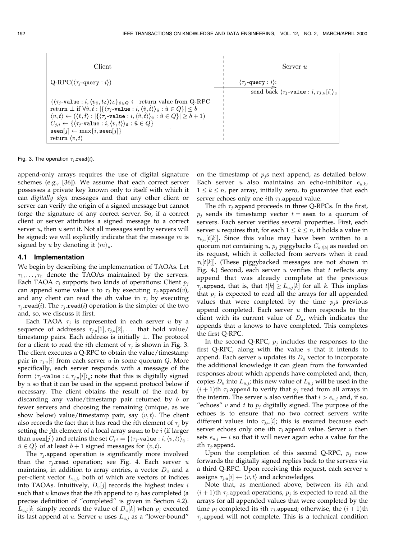| Client                                                                                                                                                                                                                                                                                                                                                                                                                                                                                                                                                                                                                                                                                                                              | Server u                                                                                                  |
|-------------------------------------------------------------------------------------------------------------------------------------------------------------------------------------------------------------------------------------------------------------------------------------------------------------------------------------------------------------------------------------------------------------------------------------------------------------------------------------------------------------------------------------------------------------------------------------------------------------------------------------------------------------------------------------------------------------------------------------|-----------------------------------------------------------------------------------------------------------|
| $Q-RPC(\langle \tau_i\text{-query}: i \rangle)$                                                                                                                                                                                                                                                                                                                                                                                                                                                                                                                                                                                                                                                                                     | $\langle \tau_i$ -query : <i>i</i> ):<br>send back $\langle \tau_j$ -value : $i, \tau_{j,u}[i] \rangle_u$ |
| $\{\langle \tau_j\text{-value}:i,\langle v_{\hat{u}},t_{\hat{u}}\rangle\rangle_{\hat{u}}\}_{\hat{u}\in Q} \leftarrow \text{return value from Q-RPC}$<br>return $\perp$ if $\forall \hat{v}, \hat{t} :  \{\langle \tau_i$ -value : $i, \langle \hat{v}, \hat{t} \rangle \rangle_{\hat{u}} : \hat{u} \in Q\}  \leq b$<br>$\langle v, t \rangle \leftarrow (\langle \hat{v}, \hat{t} \rangle :  \{\langle \tau_i \text{-value} : i, \langle \hat{v}, \hat{t} \rangle \rangle_{\hat{u}} : \hat{u} \in Q\}  \geq b+1)$<br>$C_{j,i} \leftarrow \{\langle \tau_j\text{-value} : i, \langle v, t \rangle \rangle_{\hat{u}} : \hat{u} \in Q\}$<br>$\mathsf{seen}[j] \leftarrow \max\{i, \mathsf{seen}[j]\}$<br>return $\langle v, t \rangle$ |                                                                                                           |

Fig. 3. The operation  $\tau_i$  read(i).

append-only arrays requires the use of digital signature schemes (e.g., [36]). We assume that each correct server possesses a private key known only to itself with which it can digitally sign messages and that any other client or server can verify the origin of a signed message but cannot forge the signature of any correct server. So, if a correct client or server attributes a signed message to a correct server  $u$ , then  $u$  sent it. Not all messages sent by servers will be signed; we will explicitly indicate that the message  $m$  is signed by u by denoting it  $\langle m \rangle_{\mu}$ .

#### 4.1 Implementation

We begin by describing the implementation of TAOAs. Let  $\tau_1, \ldots, \tau_n$  denote the TAOAs maintained by the servers. Each TAOA  $\tau_i$  supports two kinds of operations: Client  $p_i$ can append some value v to  $\tau_i$  by executing  $\tau_i$  append(v), and any client can read the *i*th value in  $\tau_j$  by executing  $\tau_i$ :read(*i*). The  $\tau_i$ :read(*i*) operation is the simpler of the two and, so, we discuss it first.

Each TAOA  $\tau_j$  is represented in each server u by a sequence of addresses  $\tau_{j,u}[1], \tau_{j,u}[2], \ldots$  that hold value/ timestamp pairs. Each address is initially  $\perp$ . The protocol for a client to read the *i*th element of  $\tau_j$  is shown in Fig. 3. The client executes a Q-RPC to obtain the value/timestamp pair in  $\tau_{i,u}[i]$  from each server u in some quorum Q. More specifically, each server responds with a message of the form  $\langle \tau_i$ -value :  $i, \tau_{j,u}[i] \rangle_{u}$ ; note that this is digitally signed by  $u$  so that it can be used in the append protocol below if necessary. The client obtains the result of the read by discarding any value/timestamp pair returned by  $b$  or fewer servers and choosing the remaining (unique, as we show below) value/timestamp pair, say  $\langle v, t \rangle$ . The client also records the fact that it has read the *i*th element of  $\tau_i$  by setting the *j*th element of a local array seen to be  $i$  (if larger than seen[j]) and retains the set  $C_{j,i} = \{\langle \tau_j \text{-value} : i, \langle v, t \rangle \rangle_{\hat{u}} : i \in \mathbb{N} \}$  $\hat{u} \in Q$  of at least  $b + 1$  signed messages for  $\langle v, t \rangle$ .

The  $\tau_i$  append operation is significantly more involved than the  $\tau_j$ -read operation; see Fig. 4. Each server u maintains, in addition to array entries, a vector  $D_u$  and a per-client vector  $L_{u,j}$ , both of which are vectors of indices into TAOAs. Intuitively,  $D_u[j]$  records the highest index i such that u knows that the *i*th append to  $\tau_j$  has completed (a precise definition of "completed" is given in Section 4.2).  $L_{u,j}[k]$  simply records the value of  $D_u[k]$  when  $p_j$  executed its last append at  $u$ . Server  $u$  uses  $L_{u,j}$  as a "lower-bound"

on the timestamp of  $p_j$ s next append, as detailed below. Each server u also maintains an echo-inhibitor  $e_{u,k}$ ,  $1 \leq k \leq n$ , per array, initially zero, to guarantee that each server echoes only one *i*th  $\tau_j$  append value.

The *i*th  $\tau_i$  append proceeds in three Q-RPCs. In the first,  $p_i$  sends its timestamp vector  $t =$  seen to a quorum of servers. Each server verifies several properties. First, each server *u* requires that, for each  $1 \leq k \leq n$ , it holds a value in  $\tau_{k,u}[t[k]]$ . Since this value may have been written to a quorum not containing  $u$ ,  $p_j$  piggybacks  $C_{k,t[k]}$  as needed on its request, which it collected from servers when it read  $\tau_k[t[k]]$ . (These piggybacked messages are not shown in Fig. 4.) Second, each server  $u$  verifies that  $t$  reflects any append that was already complete at the previous  $\tau_j$  append, that is, that  $t[k] \geq L_{u,j}[k]$  for all k. This implies that  $p_i$  is expected to read all the arrays for all appended values that were completed by the time  $p_j$ s previous append completed. Each server  $u$  then responds to the client with its current value of  $D_u$ , which indicates the appends that  $u$  knows to have completed. This completes the first Q-RPC.

In the second Q-RPC,  $p_j$  includes the responses to the first Q-RPC, along with the value  $v$  that it intends to append. Each server  $u$  updates its  $D_u$  vector to incorporate the additional knowledge it can glean from the forwarded responses about which appends have completed and, then, copies  $D_u$  into  $L_{u,j}$ ; this new value of  $L_{u,j}$  will be used in the  $(i + 1)$ th  $\tau_j$  append to verify that  $p_j$  read from all arrays in the interim. The server u also verifies that  $i>e_{u,j}$  and, if so, "echoes"  $v$  and  $t$  to  $p_j$  digitally signed. The purpose of the echoes is to ensure that no two correct servers write different values into  $\tau_{i,u}[i]$ ; this is ensured because each server echoes only one *i*th  $\tau_j$  append value. Server u then sets  $e_{u,j} \leftarrow i$  so that it will never again echo a value for the *i*th  $\tau_j$ .append.

Upon the completion of this second Q-RPC,  $p_i$  now forwards the digitally signed replies back to the servers via a third Q-RPC. Upon receiving this request, each server  $u$ assigns  $\tau_{i,u}[i] \leftarrow \langle v, t \rangle$  and acknowledges.

Note that, as mentioned above, between its ith and  $(i + 1)$ th  $\tau_i$  append operations,  $p_i$  is expected to read all the arrays for all appended values that were completed by the time  $p_j$  completed its *i*th  $\tau_j$ .append; otherwise, the  $(i + 1)$ th  $\tau_j$  append will not complete. This is a technical condition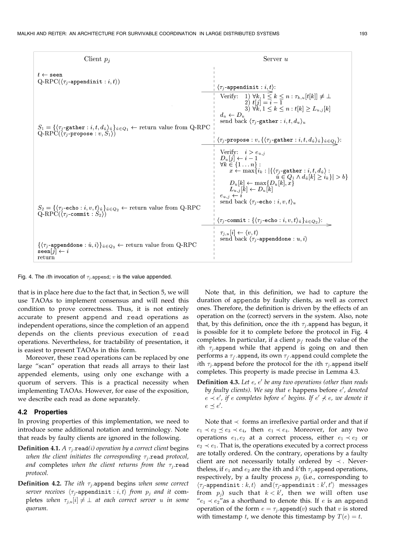| Client $p_i$                                                                                                                                                                                                       | Server $u$                                                                                                                                                                                                                                                                                                                                        |
|--------------------------------------------------------------------------------------------------------------------------------------------------------------------------------------------------------------------|---------------------------------------------------------------------------------------------------------------------------------------------------------------------------------------------------------------------------------------------------------------------------------------------------------------------------------------------------|
| $t \leftarrow$ seen<br>$Q-RPC(\langle \tau_j\text{-appendinit}:i,t\rangle)$                                                                                                                                        | $\langle \tau_j\text{-appendinit}:i_,t\rangle$ :                                                                                                                                                                                                                                                                                                  |
| $S_1 = {\langle \langle \tau_j \text{-gather}: i, t, d_{\hat{u}} \rangle_{\hat{u}}} a_{\hat{u}} \in Q_1 \leftarrow \text{return value from Q-RPC}$<br>$\mathrm{Q-RPC}(\langle \tau_j\text{-propose}:v,S_1\rangle)$ | Verify: 1) $\forall k, 1 \leq k \leq n : \tau_{k,u}[t[k]] \neq \bot$<br>2) $t[j] = i - 1$<br>3) $\forall k, 1 \leq k \leq n : t[k] \geq L_{u,j}[k]$<br>$d_u \leftarrow D_u$<br>send back $\langle \tau_j$ -gather : $i, t, d_u \rangle_u$                                                                                                         |
|                                                                                                                                                                                                                    | $\langle \tau_j\text{-propose}: v, \{\langle \tau_j\text{-gather}: i, t, d_{\hat{u}}\rangle_{\hat{u}}\}_{\hat{u}\in Q_1}\rangle$ :                                                                                                                                                                                                                |
|                                                                                                                                                                                                                    | Verify: $i > e_{u,i}$<br>$D_u[j] \leftarrow i-1$<br>$\forall k \in \{1 \dots n\}$ :<br>$x \leftarrow \max\{i_k :  \{\langle \tau_j\text{-gather}: i, t, d_{\hat{u}}\rangle :$<br>$\hat{u} \in Q_1 \wedge d_{\hat{u}}[k] \geq i_k \}$ > $b$ }<br>$D_u[k] \leftarrow \max\{D_u[k], x\}$<br>$L_{u,j}[k] \leftarrow D_u[k]$<br>$e_{u,i} \leftarrow i$ |
| $S_2 = \{ \langle \tau_j\text{-echo}: i, v, t \rangle_{\hat{u}} \}_{\hat{u} \in Q_2} \leftarrow \text{return value from Q-RPC}$<br>$Q-RPC(\langle \tau_i\text{-commit}: S_2 \rangle)$                              | send back $\langle \tau_j\text{-echo}:i, v, t\rangle_u$<br>$\langle \tau_j\text{-}\mathsf{commit} : \{ \langle \tau_j\text{-}\mathsf{echo} : i, v, t \rangle_{\hat{u}} \}_{\hat{u} \in Q_2} \rangle : \ \ \_\$                                                                                                                                    |
|                                                                                                                                                                                                                    | $\tau_{i,u}[i] \leftarrow \langle v,t \rangle$<br>send back $\langle \tau_i$ -appenddone : $u, i \rangle$                                                                                                                                                                                                                                         |
| $\{\langle \tau_j\text{-appenddone} : \hat{u}, i \rangle\}_{\hat{u} \in Q_3} \leftarrow \text{return value from Q-RPC}$<br>$\texttt{seen}[j] \leftarrow i$<br>return                                               |                                                                                                                                                                                                                                                                                                                                                   |

Fig. 4. The *i*th invocation of  $\tau_j$  append; v is the value appended.

that is in place here due to the fact that, in Section 5, we will use TAOAs to implement consensus and will need this condition to prove correctness. Thus, it is not entirely accurate to present append and read operations as independent operations, since the completion of an append depends on the clients previous execution of read operations. Nevertheless, for tractability of presentation, it is easiest to present TAOAs in this form.

Moreover, these read operations can be replaced by one large "scan" operation that reads all arrays to their last appended elements, using only one exchange with a quorum of servers. This is a practical necessity when implementing TAOAs. However, for ease of the exposition, we describe each read as done separately.

#### 4.2 Properties

In proving properties of this implementation, we need to introduce some additional notation and terminology. Note that reads by faulty clients are ignored in the following.

- **Definition 4.1.** A  $\tau_i$  read(i) operation by a correct client begins when the client initiates the corresponding  $\tau_j$ . read protocol, and completes when the client returns from the  $\tau_i$ .read protocol.
- **Definition 4.2.** The ith  $\tau_i$  append begins when some correct server receives  $\langle \tau_j$ -appendinit : *i*, *t* $\rangle$  from  $p_j$  and it completes when  $\tau_{j,u}[i] \neq \perp$  at each correct server u in some quorum.

Note that, in this definition, we had to capture the duration of appends by faulty clients, as well as correct ones. Therefore, the definition is driven by the effects of an operation on the (correct) servers in the system. Also, note that, by this definition, once the *i*th  $\tau_j$  append has begun, it is possible for it to complete before the protocol in Fig. 4 completes. In particular, if a client  $p_j$  reads the value of the *i*th  $\tau_j$  append while that append is going on and then performs a  $\tau_{\vec{q}}$  append, its own  $\tau_{\vec{q}}$  append could complete the ith  $\tau_i$  append before the protocol for the ith  $\tau_i$  append itself completes. This property is made precise in Lemma 4.3.

**Definition 4.3.** Let  $e$ ,  $e'$  be any two operations (other than reads by faulty clients). We say that  $e$  happens before  $e'$ , denoted  $e \prec e'$ , if e completes before  $e'$  begins. If  $e' \nprec e$ , we denote it  $e \preceq e'.$ 

Note that  $\prec$  forms an irreflexive partial order and that if  $e_1 \prec e_2 \preceq e_3 \prec e_4$ , then  $e_1 \prec e_4$ . Moreover, for any two operations  $e_1, e_2$  at a correct process, either  $e_1 \prec e_2$  or  $e_2 \prec e_1$ . That is, the operations executed by a correct process are totally ordered. On the contrary, operations by a faulty client are not necessarily totally ordered by  $\prec$ . Nevertheless, if  $e_1$  and  $e_2$  are the *k*th and  $k'$ th  $\tau_j$  append operations, respectively, by a faulty process  $p_i$  (i.e., corresponding to  $\langle \tau_j$ -appendinit :  $k,t \rangle$  and $\langle \tau_j$ -appendinit :  $k',t' \rangle$  messages from  $p_j$ ) such that  $k < k'$ , then we will often use  $e_1 \prec e_2$ " as a shorthand to denote this. If e is an append operation of the form  $e = \tau_j$ . append(v) such that v is stored with timestamp t, we denote this timestamp by  $T(e) = t$ .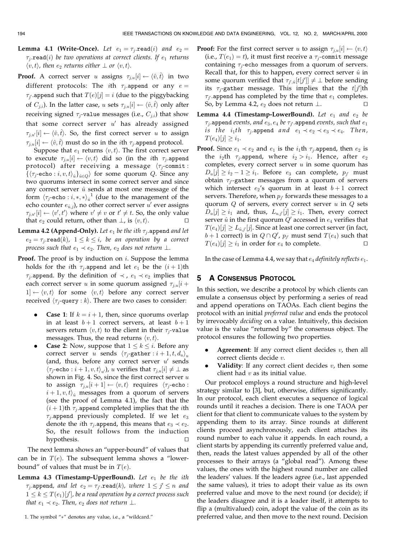- **Lemma 4.1 (Write-Once).** Let  $e_1 = \tau_j$ read(i) and  $e_2 =$  $\tau_i$ read(*i*) be two operations at correct clients. If  $e_1$  returns  $\langle v, t \rangle$ , then  $e_2$  returns either  $\perp$  or  $\langle v, t \rangle$ .
- **Proof.** A correct server u assigns  $\tau_{j,u}[i] \leftarrow \langle \hat{v}, \hat{t} \rangle$  in two different protocols: The *i*th  $\tau_j$ . append or any  $e =$  $\tau_{i'}$  append such that  $T(e)[j] = i$  (due to the piggybacking of  $C_{j,i}$ ). In the latter case, u sets  $\tau_{j,u}[i] \leftarrow \langle \hat{v}, \hat{t} \rangle$  only after receiving signed  $\tau_i$ -value messages (i.e.,  $C_{i,i}$ ) that show that some correct server  $u'$  has already assigned  $\tau_{j,u'}[i] \leftarrow \langle \hat{v}, \hat{t} \rangle$ . So, the first correct server u to assign  $\tau_{j,u}[i] \leftarrow \langle \hat{v}, \hat{t} \rangle$  must do so in the  $i$ th  $\tau_j$ .append protocol.

Suppose that  $e_1$  returns  $\langle v, t \rangle$ . The first correct server to execute  $\tau_{j,u}[i] \leftarrow \langle v, t \rangle$  did so (in the *i*th  $\tau_j$ .append protocol) after receiving a message  $\langle \tau_j$ -commit :  $\{\langle \tau_j\text{-echo}: i, v, t\rangle_{\hat{u}}\}_{\hat{u}\in Q}\rangle$  for some quorum Q. Since any two quorums intersect in some correct server and since any correct server  $\hat{u}$  sends at most one message of the form  $\langle \tau_j\text{-echo}:i, *, *\rangle_{\hat{u}}^{-1}$  (due to the management of the echo counter  $e_{\hat{u},j}$ , no other correct server u' ever assigns  $\tau_{j,u'}[i] \leftarrow \langle v',t' \rangle$  where  $v' \neq v$  or  $t' \neq t$ . So, the only value that  $e_2$  could return, other than  $\perp$ , is  $\langle v, t \rangle$ .

- **Lemma 4.2 (Append-Only).** Let  $e_1$  be the ith  $\tau_i$  append and let  $e_2 = \tau_i$ read(k),  $1 \leq k \leq i$ , be an operation by a correct process such that  $e_1 \prec e_2$ . Then,  $e_2$  does not return  $\perp$ .
- **Proof.** The proof is by induction on  $i$ . Suppose the lemma holds for the *i*th  $\tau_i$  append and let  $e_1$  be the  $(i + 1)$ th  $\tau_j$  append. By the definition of  $\prec$ ,  $e_1 \prec e_2$  implies that each correct server u in some quorum assigned  $\tau_{j,u}[i+$  $1 \rightarrow \langle v, t \rangle$  for some  $\langle v, t \rangle$  before any correct server received  $\langle \tau_i$ -query : k). There are two cases to consider:
	- **Case 1:** If  $k = i + 1$ , then, since quorums overlap in at least  $b+1$  correct servers, at least  $b+1$ servers return  $\langle v, t \rangle$  to the client in their  $\tau_i$ -value messages. Thus, the read returns  $\langle v, t \rangle$ .
	- **Case 2:** Now, suppose that  $1 \leq k \leq i$ . Before any correct server u sends  $\langle \tau_i$ -gather :  $i + 1, t, d_u \rangle_u$ (and, thus, before any correct server  $u'$  sends  $\langle \tau_j$ -echo :  $i + 1, v, t \rangle_{u'}$ ), u verifies that  $\tau_{j,u}[i] \neq \bot$  as shown in Fig. 4. So, since the first correct server  $u$ to assign  $\tau_{j,u}[i + 1] \leftarrow \langle v, t \rangle$  requires  $\langle \tau_j$ -echo :  $i + 1, v, t$ <sub>*n*</sub> messages from a quorum of servers (see the proof of Lemma 4.1), the fact that the  $(i + 1)$ th  $\tau_i$  append completed implies that the *i*th  $\tau_i$  append previously completed. If we let  $e_3$ denote the *i*th  $\tau_i$  append, this means that  $e_3 \prec e_2$ . So, the result follows from the induction hypothesis.  $\Box$

The next lemma shows an "upper-bound" of values that can be in  $T(e)$ . The subsequent lemma shows a "lowerbound" of values that must be in  $T(e)$ .

**Lemma 4.3 (Timestamp-UpperBound).** Let  $e_1$  be the ith  $\tau_j$  append, and let  $e_2 = \tau_{j'}$  read(k), where  $1 \leq j' \leq n$  and  $1 \leq k \leq T(e_1)[j']$ , be a read operation by a correct process such that  $e_1 \prec e_2$ . Then,  $e_2$  does not return  $\perp$ .

1. The symbol "\*" denotes any value, i.e., a "wildcard."

- **Proof:** For the first correct server u to assign  $\tau_{i,u}[i] \leftarrow \langle v, t \rangle$ (i.e.,  $T(e_1) = t$ ), it must first receive a  $\tau_i$ -commit message containing  $\tau_i$ -echo messages from a quorum of servers. Recall that, for this to happen, every correct server  $\hat{u}$  in some quorum verified that  $\tau_{j',\hat{u}}[t[j']]\neq \bot$  before sending its  $\tau_j$ -gather message. This implies that the  $t[j']$ th  $\tau_{i'}$  append has completed by the time that  $e_1$  completes. So, by Lemma 4.2,  $e_2$  does not return  $\perp$ .
- **Lemma 4.4 (Timestamp-LowerBound).** Let  $e_1$  and  $e_2$  be  $\tau_j$  append events, and  $e_3, e_4$  be  $\tau_j$  append events, such that  $e_1$ is the i<sub>1</sub>th  $\tau_i$  append and  $e_1 \prec e_2 \prec e_3 \prec e_4$ . Then,  $T(e_4)[j] \geq i_1.$
- **Proof.** Since  $e_1 \prec e_2$  and  $e_1$  is the  $i_1$ th  $\tau_j$ . append, then  $e_2$  is the  $i_2$ th  $\tau_j$ . append, where  $i_2 > i_1$ . Hence, after  $e_2$ completes, every correct server  $u$  in some quorum has  $D_u[j] \ge i_2 - 1 \ge i_1$ . Before  $e_3$  can complete,  $p_{j'}$  must obtain  $\tau_{i}$ -gather messages from a quorum of servers which intersect  $e_2$ 's quorum in at least  $b+1$  correct servers. Therefore, when  $p_{j'}$  forwards these messages to a quorum  $Q$  of servers, every correct server  $u$  in  $Q$  sets  $D_u[j] \geq i_1$  and, thus,  $L_{u,j'}[j] \geq i_1$ . Then, every correct server  $\hat{u}$  in the first quorum  $Q'$  accessed in  $e_4$  verifies that  $T(e_4)[j] \geq L_{\hat{u},j'}[j]$ . Since at least one correct server (in fact,  $b + 1$  correct) is in  $Q \cap Q'$ ,  $p_{j'}$  must send  $T(e_4)$  such that  $T(e_4)[j] \geq i_1$  in order for  $e_4$  to complete.

In the case of Lemma 4.4, we say that  $e_4$  definitely reflects  $e_1$ .

## 5 A CONSENSUS PROTOCOL

In this section, we describe a protocol by which clients can emulate a consensus object by performing a series of read and append operations on TAOAs. Each client begins the protocol with an initial preferred value and ends the protocol by irrevocably deciding on a value. Intuitively, this decision value is the value "returned by" the consensus object. The protocol ensures the following two properties.

- **Agreement:** If any correct client decides  $v$ , then all correct clients decide v.
- **Validity**: If any correct client decides  $v$ , then some client had  $v$  as its initial value.

Our protocol employs a round structure and high-level strategy similar to [3], but, otherwise, differs significantly. In our protocol, each client executes a sequence of logical rounds until it reaches a decision. There is one TAOA per client for that client to communicate values to the system by appending them to its array. Since rounds at different clients proceed asynchronously, each client attaches its round number to each value it appends. In each round, a client starts by appending its currently preferred value and, then, reads the latest values appended by all of the other processes to their arrays (a ªglobal readº). Among these values, the ones with the highest round number are called the leaders' values. If the leaders agree (i.e., last appended the same values), it tries to adopt their value as its own preferred value and move to the next round (or decide); if the leaders disagree and it is a leader itself, it attempts to flip a (multivalued) coin, adopt the value of the coin as its preferred value, and then move to the next round. Decision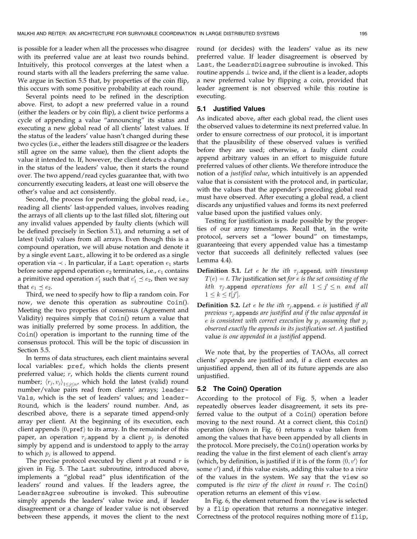is possible for a leader when all the processes who disagree with its preferred value are at least two rounds behind. Intuitively, this protocol converges at the latest when a round starts with all the leaders preferring the same value. We argue in Section 5.5 that, by properties of the coin flip, this occurs with some positive probability at each round.

Several points need to be refined in the description above. First, to adopt a new preferred value in a round (either the leaders or by coin flip), a client twice performs a cycle of appending a value "announcing" its status and executing a new global read of all clients' latest values. If the status of the leaders' value hasn't changed during these two cycles (i.e., either the leaders still disagree or the leaders still agree on the same value), then the client adopts the value it intended to. If, however, the client detects a change in the status of the leaders' value, then it starts the round over. The two append/read cycles guarantee that, with two concurrently executing leaders, at least one will observe the other's value and act consistently.

Second, the process for performing the global read, i.e., reading all clients' last-appended values, involves reading the arrays of all clients up to the last filled slot, filtering out any invalid values appended by faulty clients (which will be defined precisely in Section 5.1), and returning a set of latest (valid) values from all arrays. Even though this is a compound operation, we will abuse notation and denote it by a single event Last, allowing it to be ordered as a single operation via  $\prec$ . In particular, if a Last operation  $e_1$  starts before some append operation  $e_2$  terminates, i.e.,  $e_1$  contains a primitive read operation  $e'_1$  such that  $e'_1 \preceq e_2$ , then we say that  $e_1 \preceq e_2$ .

Third, we need to specify how to flip a random coin. For now, we denote this operation as subroutine Coin(). Meeting the two properties of consensus (Agreement and Validity) requires simply that Coin() return a value that was initially preferred by some process. In addition, the Coin() operation is important to the running time of the consensus protocol. This will be the topic of discussion in Section 5.5.

In terms of data structures, each client maintains several local variables: pref, which holds the clients present preferred value;  $r$ , which holds the clients current round number;  $\langle r_j, v_j \rangle_{1 \leq j \leq n}$ , which hold the latest (valid) round number/value pairs read from clients' arrays; leader-Vals, which is the set of leaders' values; and leader-Round, which is the leaders' round number. And, as described above, there is a separate timed append-only array per client. At the beginning of its execution, each client appends  $\langle 0, \text{pref} \rangle$  to its array. In the remainder of this paper, an operation  $\tau_j$  append by a client  $p_j$  is denoted simply by append and is understood to apply to the array to which  $p_i$  is allowed to append.

The precise protocol executed by client  $p$  at round  $r$  is given in Fig. 5. The Last subroutine, introduced above, implements a ªglobal readº plus identification of the leaders' round and values. If the leaders agree, the LeadersAgree subroutine is invoked. This subroutine simply appends the leaders' value twice and, if leader disagreement or a change of leader value is not observed between these appends, it moves the client to the next round (or decides) with the leaders' value as its new preferred value. If leader disagreement is observed by Last, the LeadersDisagree subroutine is invoked. This routine appends  $\perp$  twice and, if the client is a leader, adopts a new preferred value by flipping a coin, provided that leader agreement is not observed while this routine is executing.

### 5.1 Justified Values

As indicated above, after each global read, the client uses the observed values to determine its next preferred value. In order to ensure correctness of our protocol, it is important that the plausibility of these observed values is verified before they are used; otherwise, a faulty client could append arbitrary values in an effort to misguide future preferred values of other clients. We therefore introduce the notion of a justified value, which intuitively is an appended value that is consistent with the protocol and, in particular, with the values that the appender's preceding global read must have observed. After executing a global read, a client discards any unjustified values and forms its next preferred value based upon the justified values only.

Testing for justification is made possible by the properties of our array timestamps. Recall that, in the write protocol, servers set a "lower bound" on timestamps, guaranteeing that every appended value has a timestamp vector that succeeds all definitely reflected values (see Lemma 4.4).

- **Definition 5.1.** Let e be the ith  $\tau_i$  append, with timestamp  $T(e) = t$ . The justification set for e is the set consisting of the kth  $\tau_{i'}$  append operations for all  $1 \leq j' \leq n$  and all  $1 \leq k \leq t[j']$ .
- **Definition 5.2.** Let e be the ith  $\tau_i$  append. e is justified if all previous  $\tau_j$  appends are justified and if the value appended in e is consistent with correct execution by  $p_i$  assuming that  $p_i$ observed exactly the appends in its justification set. A justified value is one appended in a justified append.

We note that, by the properties of TAOAs, all correct clients' appends are justified and, if a client executes an unjustified append, then all of its future appends are also unjustified.

#### 5.2 The Coin() Operation

According to the protocol of Fig. 5, when a leader repeatedly observes leader disagreement, it sets its preferred value to the output of a Coin() operation before moving to the next round. At a correct client, this Coin() operation (shown in Fig. 6) returns a value taken from among the values that have been appended by all clients in the protocol. More precisely, the Coin() operation works by reading the value in the first element of each client's array (which, by definition, is justified if it is of the form  $\langle 0, v' \rangle$  for some  $v'$ ) and, if this value exists, adding this value to a  $view$ of the values in the system. We say that the view so computed is the view of the client in round  $r$ . The Coin() operation returns an element of this view.

In Fig. 6, the element returned from the view is selected by a flip operation that returns a nonnegative integer. Correctness of the protocol requires nothing more of flip,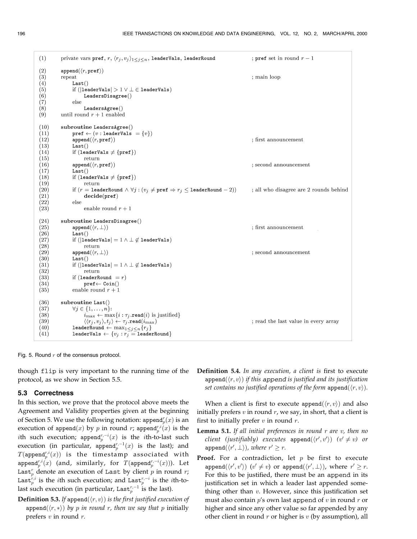| (1)  | private vars pref, $r, \langle r_j, v_j \rangle_{1 \leq j \leq n}$ , leaderVals, leaderRound                       | ; pref set in round $r-1$              |
|------|--------------------------------------------------------------------------------------------------------------------|----------------------------------------|
| (2)  | $append(\langle r,pref \rangle)$                                                                                   |                                        |
| (3)  | repest                                                                                                             | ; main loop                            |
| (4)  | Last()                                                                                                             |                                        |
| (5)  | if ( leaderVals $  > 1 \vee \bot \in$ leaderVals)                                                                  |                                        |
| (6)  | LeadersDisagree()                                                                                                  |                                        |
| (7)  | else                                                                                                               |                                        |
| (8)  | LeadersAgree()                                                                                                     |                                        |
| (9)  | until round $r + 1$ enabled                                                                                        |                                        |
| (10) | $subroutine$ LeadersAgree $()$                                                                                     |                                        |
| (11) | $\mathtt{pref} \gets (v:\mathtt{leaderVals} = \{v\})$                                                              |                                        |
| (12) | $append(\langle r,pref \rangle)$                                                                                   | ; first announcement                   |
| (13) | Last()                                                                                                             |                                        |
| (14) | if (leaderVals $\neq$ {pref})                                                                                      |                                        |
| (15) | return                                                                                                             |                                        |
| (16) | $append(\langle r,pref \rangle)$                                                                                   | ; second announcement                  |
| (17) | Last()                                                                                                             |                                        |
| (18) | if (leaderVals $\neq$ {pref})                                                                                      |                                        |
| (19) | return                                                                                                             |                                        |
| (20) | if $(r = \text{leaderRound} \land \forall j : (v_j \neq \text{pref} \Rightarrow r_j \leq \text{leaderRound} - 2))$ | ; all who disagree are 2 rounds behind |
| (21) | decide(pref)                                                                                                       |                                        |
| (22) | else                                                                                                               |                                        |
| (23) | enable round $r+1$                                                                                                 |                                        |
| (24) | $subroutine$ LeadersDisagree $()$                                                                                  |                                        |
| (25) | $append(\langle r,\perp\rangle)$                                                                                   | ; first announcement                   |
| (26) | Last()                                                                                                             |                                        |
| (27) | if ([leaderVals] = $1 \wedge \bot \notin$ leaderVals)                                                              |                                        |
| (28) | return                                                                                                             |                                        |
| (29) | $append(\langle r,\perp\rangle)$                                                                                   | ; second announcement                  |
| (30) | Last()                                                                                                             |                                        |
| (31) | if ( leaderVals $ = 1 \wedge \bot \not\in$ leaderVals)                                                             |                                        |
| (32) | return                                                                                                             |                                        |
| (33) | if (leaderRound $=r$ )                                                                                             |                                        |
| (34) | $pref \leftarrow Coin()$                                                                                           |                                        |
| (35) | enable round $r + 1$                                                                                               |                                        |
| (36) | subroutine $Last()$                                                                                                |                                        |
| (37) | $\forall j \in \{1, \ldots, n\}$ :                                                                                 |                                        |
| (38) | $i_{\max} \leftarrow \max\{i : \tau_j.\mathtt{read}(i) \text{ is justified}\}$                                     |                                        |
| (39) | $\langle\langle r_j,v_j\rangle,t_j\rangle\leftarrow\tau_j.\mathtt{read}(i_\mathrm{max})$                           | ; read the last value in every array   |
| (40) | leaderRound $\leftarrow \max_{1 \leq j \leq n} \{r_j\}$                                                            |                                        |
| (41) | leaderVals $\leftarrow \{v_j : r_j = \texttt{leaderRound}\}$                                                       |                                        |
|      |                                                                                                                    |                                        |

Fig. 5. Round  $r$  of the consensus protocol.

though flip is very important to the running time of the protocol, as we show in Section 5.5.

# 5.3 Correctness

In this section, we prove that the protocol above meets the Agreement and Validity properties given at the beginning of Section 5. We use the following notation:  $\text{append}_{p}^{r}(x)$  is an execution of append $(x)$  by p in round r; append $_{p}^{r,i}(x)$  is the ith such execution; append $r_i^{-i}(x)$  is the ith-to-last such execution (in particular, append $r_r^{-1}(x)$  is the last); and  $T(\mathtt{append}_{p}^{r,i}(x))$  is the timestamp associated with  $\mathtt{append}_p^{r,i}(x)$  (and, similarly, for  $T(\mathtt{append}_p^{r,-i}(x))$ ). Let Last $_{p}^{r}$  denote an execution of Last by client  $p$  in round  $r$ ; Last $_{p}^{r,i}$  is the  $i$ th such execution; and Last $_{p}^{r,-i}$  is the  $i$ th-tolast such execution (in particular, Last<sup>r<sub>n</sub>-1</sup> is the last).

**Definition 5.3.** If append $(\langle r, v \rangle)$  is the first justified execution of append $(\langle r, * \rangle)$  by p in round r, then we say that p initially prefers  $v$  in round  $r$ .

Definition 5.4. In any execution, a client is first to execute  $append(\langle r, v \rangle)$  if this append is justified and its justification set contains no justified operations of the form append $(\langle r, v \rangle)$ .

When a client is first to execute append $(\langle r, v \rangle)$  and also initially prefers  $v$  in round  $r$ , we say, in short, that a client is first to initially prefer  $v$  in round  $r$ .

- **Lemma 5.1.** If all initial preferences in round  $r$  are  $v$ , then no client (justifiably) executes  $\text{append}(\langle r', v' \rangle)$   $(v' \neq v)$  or append $(\langle r', \perp \rangle)$ , where  $r' \geq r$ .
- **Proof.** For a contradiction, let  $p$  be first to execute  $\text{append}(\langle r', v' \rangle)$   $(v' \neq v)$  or  $\text{append}(\langle r', \bot \rangle)$ , where  $r' \geq r$ . For this to be justified, there must be an append in its justification set in which a leader last appended something other than  $v$ . However, since this justification set must also contain  $p'$ s own last append of  $v$  in round  $r$  or higher and since any other value so far appended by any other client in round  $r$  or higher is  $v$  (by assumption), all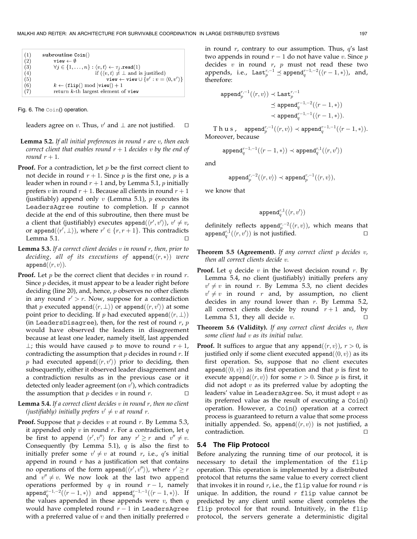| (1) | subroutine Coin()                                                                                |
|-----|--------------------------------------------------------------------------------------------------|
| (2) | view $\leftarrow \emptyset$                                                                      |
| (3) | $\forall j \in \{1, \ldots, n\} : \langle v, t \rangle \leftarrow \tau_j \cdot \texttt{read}(1)$ |
| (4) | if $(\langle v, t \rangle \neq \bot$ and is justified)                                           |
| (5) | view $\leftarrow$ view $\cup$ { $v' : v = \langle 0, v' \rangle$ }                               |
| (6) | $k \leftarrow (\texttt{flip}() \text{ mod }  \text{view} ) + 1$                                  |
|     | return $k$ -th largest element of view                                                           |

Fig. 6. The Coin() operation.

leaders agree on v. Thus, v' and  $\perp$  are not justified.  $\square$ 

- **Lemma 5.2.** If all initial preferences in round  $r$  are  $v$ , then each correct client that enables round  $r + 1$  decides v by the end of round  $r + 1$ .
- **Proof.** For a contradiction, let  $p$  be the first correct client to not decide in round  $r + 1$ . Since p is the first one, p is a leader when in round  $r + 1$  and, by Lemma 5.1, p initially prefers v in round  $r + 1$ . Because all clients in round  $r + 1$ (justifiably) append only v (Lemma 5.1), p executes its LeadersAgree routine to completion. If  $p$  cannot decide at the end of this subroutine, then there must be a client that (justifiably) executes append $(\langle r', v' \rangle)$ ,  $v' \neq v$ , or append $(\langle r', \perp \rangle)$ , where  $r' \in \{r, r + 1\}$ . This contradicts Lemma 5.1.  $\Box$
- **Lemma 5.3.** If a correct client decides  $v$  in round  $r$ , then, prior to deciding, all of its executions of append $(\langle r, * \rangle)$  were  $\mathrm{append}(\langle r, v \rangle).$
- **Proof.** Let  $p$  be the correct client that decides  $v$  in round  $r$ . Since  $p$  decides, it must appear to be a leader right before deciding (line 20), and, hence,  $p$  observes no other clients in any round  $r' > r$ . Now, suppose for a contradiction that p executed append $(\langle r, \perp \rangle)$  or append $(\langle r, v' \rangle)$  at some point prior to deciding. If p had executed append $(\langle r, \perp \rangle)$ (in LeadersDisagree), then, for the rest of round  $r$ ,  $p$ would have observed the leaders in disagreement because at least one leader, namely itself, last appended  $\perp$ ; this would have caused p to move to round  $r + 1$ , contradicting the assumption that  $p$  decides in round  $r$ . If p had executed append $(\langle r, v' \rangle)$  prior to deciding, then subsequently, either it observed leader disagreement and a contradiction results as in the previous case or it detected only leader agreement (on  $v'$ ), which contradicts the assumption that  $p$  decides  $v$  in round  $r$ .
- **Lemma 5.4.** If a correct client decides  $v$  in round  $r$ , then no client (justifiably) initially prefers  $v' \neq v$  at round r.
- **Proof.** Suppose that  $p$  decides  $v$  at round  $r$ . By Lemma 5.3, it appended only  $v$  in round  $r$ . For a contradiction, let  $q$ be first to append  $\langle r', v'' \rangle$  for any  $r' \geq r$  and  $v'' \neq v$ . Consequently (by Lemma 5.1),  $q$  is also the first to initially prefer some  $v' \neq v$  at round r, i.e., q's initial append in round  $r$  has a justification set that contains no operations of the form append $(\langle r', v'' \rangle)$ , where  $r' \geq r$ and  $v'' \neq v$ . We now look at the last two append operations performed by q in round  $r - 1$ , namely append<sup>r-1,-2</sup>( $\langle r-1,* \rangle$ ) and append<sup>r-1,-1</sup>( $\langle r-1,* \rangle$ ). If the values appended in these appends were  $v$ , then q would have completed round  $r - 1$  in LeadersAgree with a preferred value of  $v$  and then initially preferred  $v$

in round  $r$ , contrary to our assumption. Thus,  $q$ 's last two appends in round  $r - 1$  do not have value v. Since p decides  $v$  in round  $r$ ,  $p$  must not read these two appends, i.e., Last<sup>r<sub>n</sub>,-1</sup>  $\preceq$  append<sup>r-1,-2</sup>( $\langle r-1, *\rangle$ ), and, therefore:

$$
\begin{aligned} \mathtt{append}^{r,-1}_p(\langle r,v \rangle) &\prec \mathtt{Last}^{r,-1}_p \\ &\preceq \mathtt{append}^{r-1,-2}_q(\langle r-1,* \rangle) \\ &\prec \mathtt{append}^{r-1,-1}_q(\langle r-1,* \rangle). \end{aligned}
$$

Thus, append<sup> $r, -1$ </sup> $(\langle r, v \rangle) \prec$  append<sup> $r-1, -1$ </sup> $(\langle r-1, *\rangle)$ . Moreover, because

$$
\mathtt{append}_q^{r-1,-1}(\langle r-1,*\rangle) \prec \mathtt{append}_q^{r,1}(\langle r,v'\rangle)
$$

and

$$
{\tt append}_p^{r,-2}(\langle r,v\rangle)\prec{\tt append}_p^{r,-1}(\langle r,v\rangle),
$$

we know that

$$
\mathtt{append}_q^{r,1}(\langle r,v'\rangle)
$$

definitely reflects append<sup> $r, -2$ </sup>( $\langle r, v \rangle$ ), which means that  $\texttt{append}_q^{r,1}(\langle r, v' \rangle) \text{ is not justified. }$ 

- **Theorem 5.5 (Agreement).** If any correct client  $p$  decides  $v$ , then all correct clients decide v.
- **Proof.** Let q decide v in the lowest decision round r. By Lemma 5.4, no client (justifiably) initially prefers any  $v' \neq v$  in round r. By Lemma 5.3, no client decides  $v' \neq v$  in round r and, by assumption, no client decides in any round lower than  $r$ . By Lemma 5.2, all correct clients decide by round  $r+1$  and, by Lemma 5.1, they all decide  $v$ .
- **Theorem 5.6 (Validity).** If any correct client decides  $v$ , then some client had v as its initial value.
- **Proof.** It suffices to argue that any append $(\langle r, v \rangle)$ ,  $r > 0$ , is justified only if some client executed append $(\langle 0, v \rangle)$  as its first operation. So, suppose that no client executes append $(\langle 0, v \rangle)$  as its first operation and that p is first to execute append $(\langle r, v \rangle)$  for some  $r > 0$ . Since p is first, it did not adopt  $v$  as its preferred value by adopting the leaders' value in LeadersAgree. So, it must adopt  $v$  as its preferred value as the result of executing a Coin() operation. However, a Coin() operation at a correct process is guaranteed to return a value that some process initially appended. So, append $(\langle r, v \rangle)$  is not justified, a  $contradiction.$

#### 5.4 The Flip Protocol

Before analyzing the running time of our protocol, it is necessary to detail the implementation of the flip operation. This operation is implemented by a distributed protocol that returns the same value to every correct client that invokes it in round  $r$ , i.e., the flip value for round  $r$  is unique. In addition, the round  $r$  flip value cannot be predicted by any client until some client completes the flip protocol for that round. Intuitively, in the flip protocol, the servers generate a deterministic digital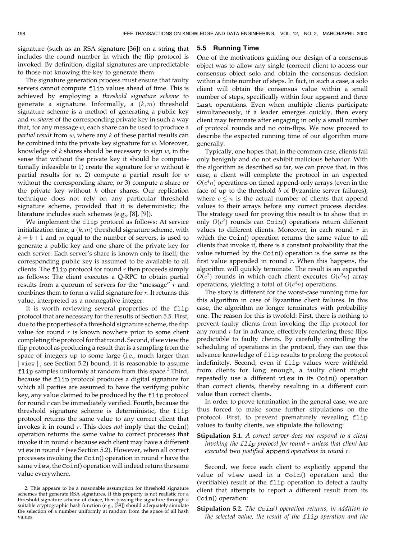signature (such as an RSA signature [36]) on a string that includes the round number in which the flip protocol is invoked. By definition, digital signatures are unpredictable to those not knowing the key to generate them.

The signature generation process must ensure that faulty servers cannot compute flip values ahead of time. This is achieved by employing a threshold signature scheme to generate a signature. Informally, a  $(k, m)$  threshold signature scheme is a method of generating a public key and  $m$  shares of the corresponding private key in such a way that, for any message  $w$ , each share can be used to produce a partial result from  $w$ , where any  $k$  of these partial results can be combined into the private key signature for  $w$ . Moreover, knowledge of  $k$  shares should be necessary to sign  $w$ , in the sense that without the private key it should be computationally infeasible to 1) create the signature for  $w$  without  $k$ partial results for  $w$ , 2) compute a partial result for  $w$ without the corresponding share, or 3) compute a share or the private key without  $k$  other shares. Our replication technique does not rely on any particular threshold signature scheme, provided that it is deterministic; the literature includes such schemes (e.g., [8], [9]).

We implement the flip protocol as follows: At service initialization time, a  $(k, m)$  threshold signature scheme, with  $k = b + 1$  and m equal to the number of servers, is used to generate a public key and one share of the private key for each server. Each server's share is known only to itself; the corresponding public key is assumed to be available to all clients. The  $flip$  protocol for round  $r$  then proceeds simply as follows: The client executes a Q-RPC to obtain partial results from a quorum of servers for the "message"  $r$  and combines them to form a valid signature for  $r$ . It returns this value, interpreted as a nonnegative integer.

It is worth reviewing several properties of the flip protocol that are necessary for the results of Section 5.5. First, due to the properties of a threshold signature scheme, the flip value for round  $r$  is known nowhere prior to some client completing the protocol for that round. Second, if we view the flip protocol as producing a result that is a sampling from the space of integers up to some large (i.e., much larger than  $|$  view  $|$ ; see Section 5.2) bound, it is reasonable to assume flip samples uniformly at random from this space.<sup>2</sup> Third, because the flip protocol produces a digital signature for which all parties are assumed to have the verifying public key, any value claimed to be produced by the flip protocol for round  $r$  can be immediately verified. Fourth, because the threshold signature scheme is deterministic, the flip protocol returns the same value to any correct client that invokes it in round  $r$ . This does not imply that the  $\text{Coin}()$ operation returns the same value to correct processes that invoke it in round  $r$  because each client may have a different view in round  $r$  (see Section 5.2). However, when all correct processes invoking the  $\text{Coin}()$  operation in round  $r$  have the same view, the Coin() operation will indeed return the same value everywhere.

## 5.5 Running Time

One of the motivations guiding our design of a consensus object was to allow any single (correct) client to access our consensus object solo and obtain the consensus decision within a finite number of steps. In fact, in such a case, a solo client will obtain the consensus value within a small number of steps, specifically within four append and three Last operations. Even when multiple clients participate simultaneously, if a leader emerges quickly, then every client may terminate after engaging in only a small number of protocol rounds and no coin-flips. We now proceed to describe the expected running time of our algorithm more generally.

Typically, one hopes that, in the common case, clients fail only benignly and do not exhibit malicious behavior. With the algorithm as described so far, we can prove that, in this case, a client will complete the protocol in an expected  $O(c<sup>4</sup>n)$  operations on timed append-only arrays (even in the face of up to the threshold  $b$  of Byzantine server failures), where  $c \leq n$  is the actual number of clients that append values to their arrays before any correct process decides. The strategy used for proving this result is to show that in only  $O(c^2)$  rounds can Coin() operations return different values to different clients. Moreover, in each round  $r$  in which the Coin() operation returns the same value to all clients that invoke it, there is a constant probability that the value returned by the Coin() operation is the same as the first value appended in round  $r$ . When this happens, the algorithm will quickly terminate. The result is an expected  $O(c^2)$  rounds in which each client executes  $O(c^2n)$  array operations, yielding a total of  $O(c<sup>4</sup>n)$  operations.

The story is different for the worst-case running time for this algorithm in case of Byzantine client failures. In this case, the algorithm no longer terminates with probability one. The reason for this is twofold: First, there is nothing to prevent faulty clients from invoking the flip protocol for any round  $r$  far in advance, effectively rendering these flips predictable to faulty clients. By carefully controlling the scheduling of operations in the protocol, they can use this advance knowledge of flip results to prolong the protocol indefinitely. Second, even if flip values were withheld from clients for long enough, a faulty client might repeatedly use a different view in its Coin() operation than correct clients, thereby resulting in a different coin value than correct clients.

In order to prove termination in the general case, we are thus forced to make some further stipulations on the protocol. First, to prevent prematurely revealing flip values to faulty clients, we stipulate the following:

Stipulation 5.1. A correct server does not respond to a client invoking the flip protocol for round r unless that client has executed two justified append operations in round r.

Second, we force each client to explicitly append the value of view used in a Coin() operation and the (verifiable) result of the flip operation to detect a faulty client that attempts to report a different result from its Coin() operation:

Stipulation 5.2. The Coin() operation returns, in addition to the selected value, the result of the flip operation and the

<sup>2.</sup> This appears to be a reasonable assumption for threshold signature schemes that generate RSA signatures. If this property is not realistic for a threshold signature scheme of choice, then passing the signature through a suitable cryptographic hash function (e.g., [39]) should adequately simulate the selection of a number uniformly at random from the space of all hash values.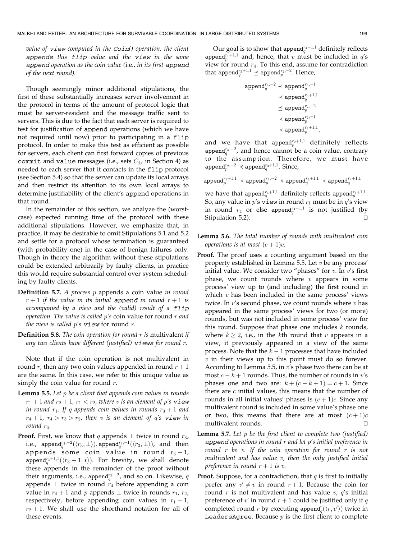value of view computed in the Coin() operation; the client appends this flip value and the view in the same append operation as the coin value (i.e., in its first append of the next round).

Though seemingly minor additional stipulations, the first of these substantially increases server involvement in the protocol in terms of the amount of protocol logic that must be server-resident and the message traffic sent to servers. This is due to the fact that each server is required to test for justification of append operations (which we have not required until now) prior to participating in a flip protocol. In order to make this test as efficient as possible for servers, each client can first forward copies of previous commit and value messages (i.e., sets  $C_{j,i}$  in Section 4) as needed to each server that it contacts in the flip protocol (see Section 5.4) so that the server can update its local arrays and then restrict its attention to its own local arrays to determine justifiability of the client's append operations in that round.

In the remainder of this section, we analyze the (worstcase) expected running time of the protocol with these additional stipulations. However, we emphasize that, in practice, it may be desirable to omit Stipulations 5.1 and 5.2 and settle for a protocol whose termination is guaranteed (with probability one) in the case of benign failures only. Though in theory the algorithm without these stipulations could be extended arbitrarily by faulty clients, in practice this would require substantial control over system scheduling by faulty clients.

- **Definition 5.7.** A process  $p$  appends a coin value in round  $r+1$  if the value in its initial append in round  $r+1$  is accompanied by a view and the (valid) result of a flip operation. The value is called  $p's$  coin value for round  $r$  and the view is called  $p's$  view for round  $r$ .
- **Definition 5.8.** The coin operation for round  $r$  is multivalent if any two clients have different (justified) views for round  $r$ .

Note that if the coin operation is not multivalent in round r, then any two coin values appended in round  $r + 1$ are the same. In this case, we refer to this unique value as simply the coin value for round  $r$ .

- **Lemma 5.5.** Let  $p$  be a client that appends coin values in rounds  $r_1 + 1$  and  $r_2 + 1$ ,  $r_1 < r_2$ , where v is an element of p's view in round  $r_1$ . If q appends coin values in rounds  $r_3 + 1$  and  $r_4 + 1$ ,  $r_4 > r_3 > r_2$ , then v is an element of q's view in round  $r_4$ .
- **Proof.** First, we know that q appends  $\perp$  twice in round  $r_3$ , i.e.,  $\texttt{append}_{a}^{r_3,-2}(\langle r_3,\perp \rangle), \texttt{append}_{a}^{r_3,-1}(\langle r_3,\perp \rangle)$ , and then appends some coin value in round  $r_3 + 1$ , append<sup>r<sub>3</sub>+1,1</sup>( $\langle r_3 + 1, *\rangle$ ). For brevity, we shall denote these appends in the remainder of the proof without their arguments, i.e., append<sup> $r_3$ ,-2</sup>, and so on. Likewise, q appends  $\perp$  twice in round  $r_4$  before appending a coin value in  $r_4 + 1$  and p appends  $\perp$  twice in rounds  $r_1$ ,  $r_2$ , respectively, before appending coin values in  $r_1 + 1$ ,  $r_2 + 1$ . We shall use the shorthand notation for all of these events.

Our goal is to show that append $\frac{r_4+1}{a}$  definitely reflects append $r_1^{r_1+1,1}$  and, hence, that v must be included in  $q's$ view for round  $r_4$ . To this end, assume for contradiction that append $r_0^{r_3+1,1} \preceq$  append $r_0^{r_2,-2}$ . Hence,

$$
\begin{aligned} \text{append}_q^{r_3,-2} &\prec \text{append}_q^{r_3,-1}\\ &\prec \text{append}_q^{r_3+1,1}\\ &\prec \text{append}_p^{r_2,-2}\\ &\prec \text{append}_p^{r_2,-1}\\ &\prec \text{append}_p^{r_2+1,1}, \end{aligned}
$$

and we have that append $r_2^{r_2+1,1}$  definitely reflects append<sup> $r_3$ </sup>, and hence cannot be a coin value, contrary to the assumption. Therefore, we must have append $r_2^{r_2,-2}$   $\prec$  append $r_2^{r_3+1,1}$ . Since,

$$
\mathtt{append}_p^{r_1+1,1}\prec\mathtt{append}_p^{r_2,-2}\prec\mathtt{append}_q^{r_3+1,1}\prec\mathtt{append}_q^{r_4+1,1}
$$

we have that append $r_q^{r_1+1,1}$  definitely reflects append $r_p^{r_1+1,1}$ . So, any value in  $p'$ s view in round  $r_1$  must be in  $q'$ s view in round  $r_4$  or else append $r_4^{r_4+1,1}$  is not justified (by Stipulation 5.2).  $\Box$ 

Lemma 5.6. The total number of rounds with multivalent coin operations is at most  $(c + 1)c$ .

- Proof. The proof uses a counting argument based on the property established in Lemma 5.5. Let  $v$  be any process' initial value. We consider two "phases" for  $v$ . In  $v$ 's first phase, we count rounds where  $v$  appears in some process' view up to (and including) the first round in which  $v$  has been included in the same process' views twice. In  $v$ 's second phase, we count rounds where  $v$  has appeared in the same process' views for two (or more) rounds, but was not included in some process' view for this round. Suppose that phase one includes  $k$  rounds, where  $k \geq 2$ , i.e., in the kth round that v appears in a view, it previously appeared in a view of the same process. Note that the  $k - 1$  processes that have included  $v$  in their views up to this point must do so forever. According to Lemma 5.5, in v's phase two there can be at most  $c - k + 1$  rounds. Thus, the number of rounds in v's phases one and two are:  $k + (c - k + 1) = c + 1$ . Since there are  $c$  initial values, this means that the number of rounds in all initial values' phases is  $(c + 1)c$ . Since any multivalent round is included in some value's phase one or two, this means that there are at most  $(c+1)c$ multivalent rounds.  $\Box$
- **Lemma 5.7.** Let  $p$  be the first client to complete two (justified) append operations in round  $r$  and let  $p's$  initial preference in round r be v. If the coin operation for round r is not multivalent and has value v, then the only justified initial preference in round  $r + 1$  is v.
- **Proof.** Suppose, for a contradiction, that  $q$  is first to initially prefer any  $v' \neq v$  in round  $r + 1$ . Because the coin for round r is not multivalent and has value  $v$ ,  $q$ 's initial preference of  $v'$  in round  $r + 1$  could be justified only if q completed round r by executing append $q(\langle r, v' \rangle)$  twice in LeadersAgree. Because  $p$  is the first client to complete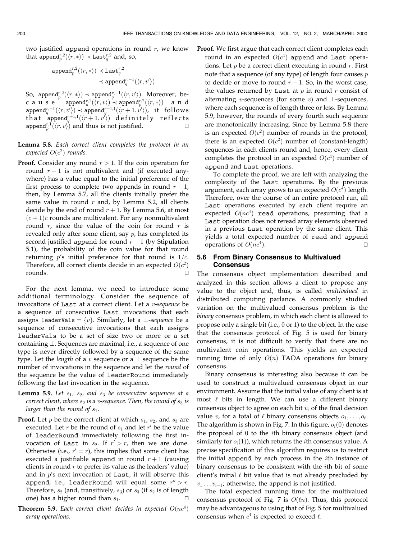two justified append operations in round  $r$ , we know that  $\mathtt{append}_p^{r,2}(\langle r,*\rangle)\prec \mathtt{Last}_q^{r,2}$  and, so,

$$
\begin{aligned} \mathtt{append}^{r,2}_p(\langle r,*\rangle) &\prec \mathtt{Last}^{r,2}_q\\ &\prec \mathtt{append}^{r,-1}_q(\langle r,v'\rangle) \end{aligned}
$$

So, append $q_p^{r,2}(\langle r, * \rangle) \prec$  append $q_q^{r,-1}(\langle r, v' \rangle)$ . Moreover, because append $r^{n,1}_{p}(\langle r, v \rangle) \prec \text{append}_{p}^{r,2}(\langle r, \ast \rangle)$  and  $\mathtt{append}_q^{r,-1}(\langle r,v'\rangle)\prec \mathtt{append}_q^{r+1,1}(\langle r+1,v'\rangle)$ , it follows that  $\operatorname{\mathsf{append}}_q^{r+1,1}(\langle r+1,v'\rangle)$  definitely reflects append $p^{r,1}(\langle r,v\rangle)$  and thus is not justified.  $\square$ 

## Lemma 5.8. Each correct client completes the protocol in an expected  $O(c^2)$  rounds.

**Proof.** Consider any round  $r > 1$ . If the coin operation for round  $r - 1$  is not multivalent and (if executed anywhere) has a value equal to the initial preference of the first process to complete two appends in round  $r - 1$ , then, by Lemma 5.7, all the clients initially prefer the same value in round  $r$  and, by Lemma 5.2, all clients decide by the end of round  $r + 1$ . By Lemma 5.6, at most  $(c + 1)c$  rounds are multivalent. For any nonmultivalent round  $r$ , since the value of the coin for round  $r$  is revealed only after some client, say p, has completed its second justified append for round  $r - 1$  (by Stipulation 5.1), the probability of the coin value for that round returning  $p$ 's initial preference for that round is  $1/c$ . Therefore, all correct clients decide in an expected  $O(c^2)$ rounds.

For the next lemma, we need to introduce some additional terminology. Consider the sequence of invocations of Last at a correct client. Let a v-sequence be a sequence of consecutive Last invocations that each assigns leaderVals =  $\{v\}$ . Similarly, let a  $\bot$ -sequence be a sequence of consecutive invocations that each assigns leaderVals to be a set of size two or more or a set containing  $\perp$ . Sequences are maximal, i.e., a sequence of one type is never directly followed by a sequence of the same type. Let the length of a v sequence or a  $\perp$  sequence be the number of invocations in the sequence and let the round of the sequence be the value of leaderRound immediately following the last invocation in the sequence.

- **Lemma 5.9.** Let  $s_1$ ,  $s_2$ , and  $s_3$  be consecutive sequences at a correct client, where  $s_2$  is a v-sequence. Then, the round of  $s_3$  is larger than the round of  $s_1$ .
- **Proof.** Let p be the correct client at which  $s_1$ ,  $s_2$ , and  $s_3$  are executed. Let r be the round of  $s_1$  and let r' be the value of leaderRound immediately following the first invocation of Last in  $s_2$ . If  $r' > r$ , then we are done. Otherwise (i.e.,  $r' = r$ ), this implies that some client has executed a justifiable append in round  $r + 1$  (causing clients in round  $r$  to prefer its value as the leaders' value) and in p's next invocation of Last, it will observe this append, i.e., leaderRound will equal some  $r'' > r$ . Therefore,  $s_2$  (and, transitively,  $s_3$ ) or  $s_3$  (if  $s_2$  is of length one) has a higher round than  $s_1$ .
- **Theorem 5.9.** Each correct client decides in expected  $O(nc^4)$ array operations.

Proof. We first argue that each correct client completes each round in an expected  $O(c<sup>4</sup>)$  append and Last operations. Let  $p$  be a correct client executing in round  $r$ . First note that a sequence (of any type) of length four causes  $p$ to decide or move to round  $r + 1$ . So, in the worst case, the values returned by Last at  $p$  in round  $r$  consist of alternating v-sequences (for some v) and  $\perp$ -sequences, where each sequence is of length three or less. By Lemma 5.9, however, the rounds of every fourth such sequence are monotonically increasing. Since by Lemma 5.8 there is an expected  $O(c^2)$  number of rounds in the protocol, there is an expected  $O(c^2)$  number of (constant-length) sequences in each clients round and, hence, every client completes the protocol in an expected  $O(c<sup>4</sup>)$  number of append and Last operations.

To complete the proof, we are left with analyzing the complexity of the Last operations. By the previous argument, each array grows to an expected  $O(c<sup>4</sup>)$  length. Therefore, over the course of an entire protocol run, all Last operations executed by each client require an expected  $O(nc<sup>4</sup>)$  read operations, presuming that a Last operation does not reread array elements observed in a previous Last operation by the same client. This yields a total expected number of read and append operations of  $O(nc<sup>4</sup>)$ .

## 5.6 From Binary Consensus to Multivalued **Consensus**

The consensus object implementation described and analyzed in this section allows a client to propose any value to the object and, thus, is called multivalued in distributed computing parlance. A commonly studied variation on the multivalued consensus problem is the binary consensus problem, in which each client is allowed to propose only a single bit (i.e., 0 or 1) to the object. In the case that the consensus protocol of Fig. 5 is used for binary consensus, it is not difficult to verify that there are no multivalent coin operations. This yields an expected running time of only  $O(n)$  TAOA operations for binary consensus.

Binary consensus is interesting also because it can be used to construct a multivalued consensus object in our environment. Assume that the initial value of any client is at most  $\ell$  bits in length. We can use a different binary consensus object to agree on each bit  $v_i$  of the final decision value v, for a total of  $\ell$  binary consensus objects  $o_1, \ldots, o_\ell$ . The algorithm is shown in Fig. 7. In this figure,  $o_i(0)$  denotes the proposal of 0 to the ith binary consensus object (and similarly for  $o_i(1)$ ), which returns the *i*th consensus value. A precise specification of this algorithm requires us to restrict the initial append by each process in the ith instance of binary consensus to be consistent with the ith bit of some client's initial  $\ell$  bit value that is not already precluded by  $v_1 \ldots v_{i-1}$ ; otherwise, the append is not justified.

The total expected running time for the multivalued consensus protocol of Fig. 7 is  $O(\ln)$ . Thus, this protocol may be advantageous to using that of Fig. 5 for multivalued consensus when  $c<sup>4</sup>$  is expected to exceed  $\ell$ .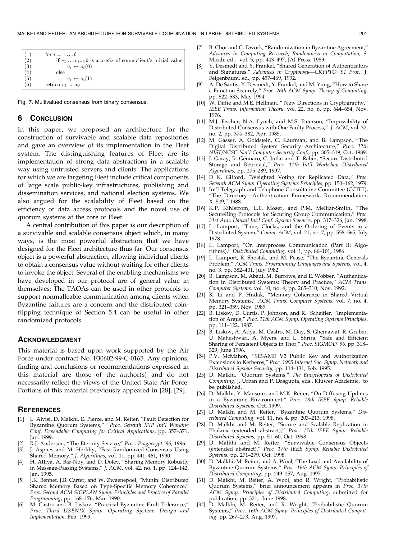|                  | for $i=1l$                                                        |
|------------------|-------------------------------------------------------------------|
|                  | if $v_1 \dots v_{i-1}$ is a prefix of some client's initial value |
| (3)              | $v_i \leftarrow o_i(0)$                                           |
| $\left(4\right)$ | else                                                              |
| (5)              | $v_i \leftarrow o_i(1)$                                           |
| '6)              | return $v_1 \ldots v_\ell$                                        |

Fig. 7. Multivalued consensus from binary consensus.

## 6 CONCLUSION

In this paper, we proposed an architecture for the construction of survivable and scalable data repositories and gave an overview of its implementation in the Fleet system. The distinguishing features of Fleet are its implementation of strong data abstractions in a scalable way using untrusted servers and clients. The applications for which we are targeting Fleet include critical components of large scale public-key infrastructures, publishing and dissemination services, and national election systems. We also argued for the scalability of Fleet based on the efficiency of data access protocols and the novel use of quorum systems at the core of Fleet.

A central contribution of this paper is our description of a survivable and scalable consensus object which, in many ways, is the most powerful abstraction that we have designed for the Fleet architecture thus far. Our consensus object is a powerful abstraction, allowing individual clients to obtain a consensus value without waiting for other clients to invoke the object. Several of the enabling mechanisms we have developed in our protocol are of general value in themselves: The TAOAs can be used in other protocols to support nonmalleable communication among clients when Byzantine failures are a concern and the distributed coinflipping technique of Section 5.4 can be useful in other randomized protocols.

## ACKNOWLEDGMENT

This material is based upon work supported by the Air Force under contract No. F30602-99-C-0165. Any opinions, finding and conclusions or recommendations expressed in this material are those of the author(s) and do not necessarily reflect the views of the United State Air Force. Portions of this material previously appeared in [28], [29].

## **REFERENCES**

- [1] L. Alvisi, D. Malkhi, E. Pierce, and M. Reiter, "Fault Detection for Byzantine Quorum Systems," Proc. Seventh IFIP Int'l Working Conf. Dependable Computing for Critical Applications, pp. 357-371, Jan. 1999.
- [2] R.J. Anderson, "The Eternity Service," Proc. Pragocrypt '96, 1996.
- [3] J. Aspnes and M. Herlihy, "Fast Randomized Consensus Using Shared Memory," J. Algorithms, vol. 11, pp. 441-461, 1990.
- [4] H. Attiya, A. Bar-Noy, and D. Dolev, "Sharing Memory Robustly in Message-Passing Systems," J. ACM, vol. 42, no. 1, pp. 124-142, Jan. 1995.
- [5] J.K. Bennet, J.B. Carter, and W. Zwaenepoel, ªMunin: Distributed Shared Memory Based on Type-Specific Memory Coherence,' Proc. Second ACM SIGPLAN Symp. Principles and Practice of Parallel Programming, pp. 168-176, Mar. 1990.
- M. Castro and B. Liskov, "Practical Byzantine Fault Tolerance," Proc. Third USENIX Symp. Operating Systems Design and Implementation, Feb. 1999.
- [7] B. Chor and C. Dwork, "Randomization in Byzantine Agreement," Advances in Computing Research, Randomness in Computation, S. Micali, ed., vol. 5, pp. 443-497, JAI Press, 1989.
	- Y. Desmedt and Y. Frankel, "Shared Generation of Authenticators and Signatures," Advances in Cryptology-CRYPTO '91 Proc., J. Feigenbaum, ed., pp. 457-469, 1992.
- [9] A. De Santis, Y. Desmedt, Y. Frankel, and M. Yung, "How to Share a Function Securely," Proc. 26th ACM Symp. Theory of Computing, pp. 522-533, May 1994.
- [10] W. Diffie and M.E. Hellman, " New Directions in Cryptography," IEEE Trans. Information Theory, vol. 22, no. 6, pp. 644-654, Nov. 1976.
- [11] M.J. Fischer, N.A. Lynch, and M.S. Paterson, "Impossibility of Distributed Consensus with One Faulty Process," J. ACM, vol. 32, no. 2, pp. 374-382, Apr. 1985.
- [12] M. Gasser, A. Goldstein, C. Kaufman, and B. Lampson, "The Digital Distributed System Security Architecture," Proc. 12th NIST/NCSC Nat'l Computer Security Conf., pp. 305–319, Oct. 1989.
- [13] J. Garay, R. Gennaro, C. Jutla, and T. Rabin, "Secure Distributed Storage and Retrieval,º Proc. 11th Int'l Workshop Distributed Algorithms, pp. 275-289, 1997.
- [14] D K. Gifford, "Weighted Voting for Replicated Data," Proc. Seventh ACM Symp. Operating Systems Principles, pp. 150–162, 1979.
- [15] Int'l Telegraph and Telephone Consultative Committee (CCITT), "The Directory-Authentication Framework, Recommendation, X. 509," 1988.
- [16] K.P. Kihlstrom, L.E. Moser, and P.M. Melliar-Smith, "The SecureRing Protocols for Securing Group Communication," Proc. 31st Ann. Hawaii Int'l Conf. System Sciences, pp. 317-326, Jan. 1998.
- [17] L. Lamport, ªTime, Clocks, and the Ordering of Events in a Distributed System," Comm. ACM, vol. 21, no. 7, pp. 558–565, July 1978.
- [18] L. Lamport, "On Interprocess Communication (Part II: Algorithms)," Distributed Computing, vol. 1, pp. 86-101, 1986.
- [19] L. Lamport, R. Shostak, and M. Pease, ªThe Byzantine Generals Problem," ACM Trans. Programming Languages and Systems, vol. 4, no. 3, pp. 382-401, July 1982.
- [20] B. Lampson, M. Abadi, M. Burrows, and E. Wobber, ªAuthentication in Distributed Systems: Theory and Practice," ACM Trans. Computer Systems, vol. 10, no. 4, pp. 265-310, Nov. 1992.
- [21] K. Li and P. Hudak, ªMemory Coherence in Shared Virtual Memory Systems,º ACM Trans. Computer Systems, vol. 7, no. 4, pp. 321±359, Nov. 1989.
- [22] B. Liskov, D. Curtis, P. Johnson, and R. Scheifler, "Implementation of Argus," Proc. 11th ACM Symp. Operating Systems Principles, pp. 111±122, 1987.
- [23] B. Liskov, A. Adya, M. Castro, M. Day, S. Ghemawat, R. Gruber, U. Maheshwari, A. Myers, and L. Shrira, ªSafe and Efficient Sharing of Persistent Objects in Thor," *Proc. SIGMOD '96,* pp. 318– 329, June 1996.
- [24] P.V. McMahon, "SESAME V2 Public Key and Authorization Extensions to Kerberos," Proc. 1995 Internet Soc. Symp. Network and Distributed System Security, pp. 114±131, Feb. 1995.
- [25] D. Malkhi, "Quorum Systems," The Encyclopedia of Distributed Computing, J. Urban and P. Dasgupta, eds., Kluwer Academic, to be published.
- [26] D. Malkhi, Y. Mansour, and M.K. Reiter, "On Diffusing Updates in a Byzantine Environment," Proc. 18th IEEE Symp. Reliable Distributed Systems, Oct. 1999.
- [27] D. Malkhi and M. Reiter, "Byzantine Quorum Systems," Distributed Computing, vol. 11, no. 4, pp. 203-213, 1998.
- [28] D. Malkhi and M. Reiter, "Secure and Scalable Replication in Phalanx (extended abstract)," Proc. 17th IEEE Symp. Reliable Distributed Systems, pp. 51–60, Oct. 1998.
- [29] D. Malkhi and M. Reiter, ªSurvivable Consensus Objects (extended abstract),º Proc. 17th IEEE Symp. Reliable Distributed Systems, pp. 271-279, Oct. 1998.
- [30] D. Malkhi, M. Reiter, and A. Wool, "The Load and Availability of Byzantine Quorum Systems," Proc. 16th ACM Symp. Principles of Distributed Computing, pp. 249-257, Aug. 1997.
- [31] D. Malkhi, M. Reiter, A. Wool, and R. Wright, "Probabilistic Quorum Systems," brief announcement appears in Proc. 17th ACM Symp. Principles of Distributed Computing, submitted for publication, pp. 321, June 1998.
- D. Malkhi, M. Reiter, and R. Wright, "Probabilistic Quorum Systems," Proc. 16th ACM Symp. Principles of Distributed Computing, pp. 267-273, Aug. 1997.